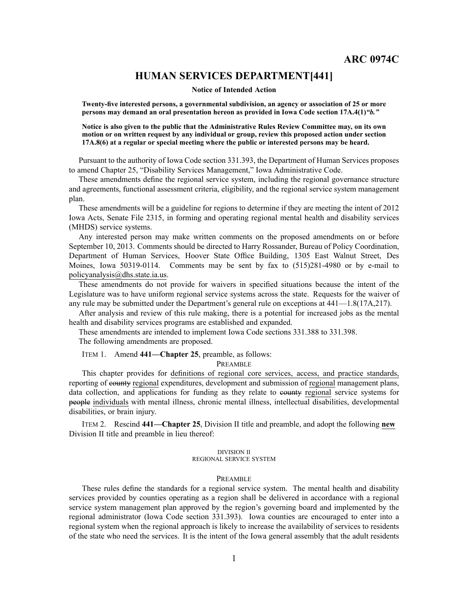# **HUMAN SERVICES DEPARTMENT[441]**

#### **Notice of Intended Action**

**Twenty-five interested persons, <sup>a</sup> governmental subdivision, an agency or association of 25 or more persons may demand an oral presentation hereon as provided in Iowa Code section 17A.4(1)***"b."*

**Notice is also given to the public that the Administrative Rules Review Committee may, on its own motion or on written request by any individual or group, review this proposed action under section 17A.8(6) at <sup>a</sup> regular or special meeting where the public or interested persons may be heard.**

Pursuant to the authority of Iowa Code section 331.393, the Department of Human Services proposes to amend Chapter 25, "Disability Services Management," Iowa Administrative Code.

These amendments define the regional service system, including the regional governance structure and agreements, functional assessment criteria, eligibility, and the regional service system managemen<sup>t</sup> plan.

These amendments will be <sup>a</sup> guideline for regions to determine if they are meeting the intent of 2012 Iowa Acts, Senate File 2315, in forming and operating regional mental health and disability services (MHDS) service systems.

Any interested person may make written comments on the proposed amendments on or before September 10, 2013. Comments should be directed to Harry Rossander, Bureau of Policy Coordination, Department of Human Services, Hoover State Office Building, 1305 East Walnut Street, Des Moines, Iowa 50319-0114. Comments may be sent by fax to (515)281-4980 or by e-mail to policyanalysis@dhs.state.ia.us.

These amendments do not provide for waivers in specified situations because the intent of the Legislature was to have uniform regional service systems across the state. Requests for the waiver of any rule may be submitted under the Department's general rule on exceptions at 441—1.8(17A,217).

After analysis and review of this rule making, there is <sup>a</sup> potential for increased jobs as the mental health and disability services programs are established and expanded.

These amendments are intended to implement Iowa Code sections 331.388 to 331.398.

The following amendments are proposed.

ITEM 1. Amend **441—Chapter 25**, preamble, as follows:

PREAMBLE

This chapter provides for definitions of regional core services, access, and practice standards, reporting of county regional expenditures, development and submission of regional managemen<sup>t</sup> plans, data collection, and applications for funding as they relate to county regional service systems for people individuals with mental illness, chronic mental illness, intellectual disabilities, developmental disabilities, or brain injury.

ITEM 2. Rescind **441—Chapter 25**, Division II title and preamble, and adopt the following **new** Division II title and preamble in lieu thereof:

#### DIVISION II REGIONAL SERVICE SYSTEM

### PREAMBLE

These rules define the standards for <sup>a</sup> regional service system. The mental health and disability services provided by counties operating as <sup>a</sup> region shall be delivered in accordance with <sup>a</sup> regional service system managemen<sup>t</sup> plan approved by the region's governing board and implemented by the regional administrator (Iowa Code section 331.393). Iowa counties are encouraged to enter into <sup>a</sup> regional system when the regional approach is likely to increase the availability of services to residents of the state who need the services. It is the intent of the Iowa general assembly that the adult residents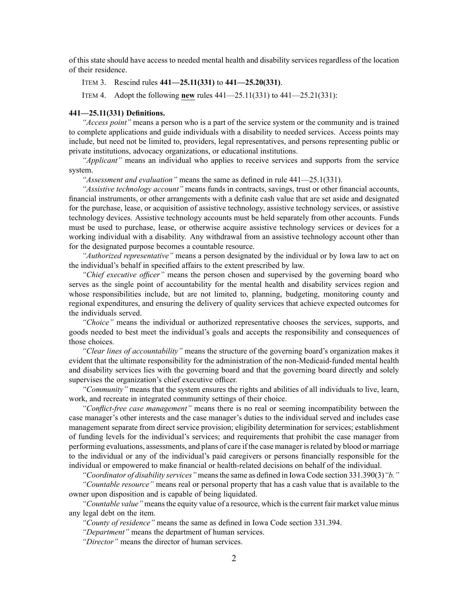of this state should have access to needed mental health and disability services regardless of the location of their residence.

# ITEM 3. Rescind rules **441—25.11(331)** to **441—25.20(331)**.

ITEM 4. Adopt the following **new** rules 441—25.11(331) to 441—25.21(331):

### **441—25.11(331) Definitions.**

*"Access point"* means <sup>a</sup> person who is <sup>a</sup> par<sup>t</sup> of the service system or the community and is trained to complete applications and guide individuals with <sup>a</sup> disability to needed services. Access points may include, but need not be limited to, providers, legal representatives, and persons representing public or private institutions, advocacy organizations, or educational institutions.

*"Applicant"* means an individual who applies to receive services and supports from the service system.

*"Assessment and evaluation"* means the same as defined in rule 441—25.1(331).

*"Assistive technology account"* means funds in contracts, savings, trust or other financial accounts, financial instruments, or other arrangements with <sup>a</sup> definite cash value that are set aside and designated for the purchase, lease, or acquisition of assistive technology, assistive technology services, or assistive technology devices. Assistive technology accounts must be held separately from other accounts. Funds must be used to purchase, lease, or otherwise acquire assistive technology services or devices for <sup>a</sup> working individual with <sup>a</sup> disability. Any withdrawal from an assistive technology account other than for the designated purpose becomes <sup>a</sup> countable resource.

*"Authorized representative"* means <sup>a</sup> person designated by the individual or by Iowa law to act on the individual's behalf in specified affairs to the extent prescribed by law.

*"Chief executive officer"* means the person chosen and supervised by the governing board who serves as the single point of accountability for the mental health and disability services region and whose responsibilities include, but are not limited to, planning, budgeting, monitoring county and regional expenditures, and ensuring the delivery of quality services that achieve expected outcomes for the individuals served.

*"Choice"* means the individual or authorized representative chooses the services, supports, and goods needed to best meet the individual's goals and accepts the responsibility and consequences of those choices.

*"Clear lines of accountability"* means the structure of the governing board's organization makes it evident that the ultimate responsibility for the administration of the non-Medicaid-funded mental health and disability services lies with the governing board and that the governing board directly and solely supervises the organization's chief executive officer.

*"Community"* means that the system ensures the rights and abilities of all individuals to live, learn, work, and recreate in integrated community settings of their choice.

*"Conflict-free case management"* means there is no real or seeming incompatibility between the case manager's other interests and the case manager's duties to the individual served and includes case managemen<sup>t</sup> separate from direct service provision; eligibility determination for services; establishment of funding levels for the individual's services; and requirements that prohibit the case manager from performing evaluations, assessments, and plans of care if the case manager isrelated by blood or marriage to the individual or any of the individual's paid caregivers or persons financially responsible for the individual or empowered to make financial or health-related decisions on behalf of the individual.

*"Coordinator of disability services"* meansthe same as defined in Iowa Code section 331.390(3)*"b."*

*"Countable resource"* means real or personal property that has <sup>a</sup> cash value that is available to the owner upon disposition and is capable of being liquidated.

*"Countable value"* meansthe equity value of <sup>a</sup> resource, which isthe current fair market value minus any legal debt on the item.

*"County of residence"* means the same as defined in Iowa Code section 331.394.

*"Department"* means the department of human services.

*"Director"* means the director of human services.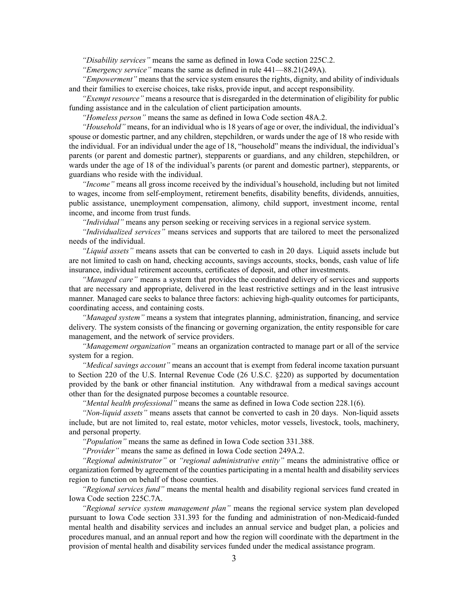*"Disability services"* means the same as defined in Iowa Code section 225C.2.

*"Emergency service"* means the same as defined in rule 441—88.21(249A).

*"Empowerment"* means that the service system ensures the rights, dignity, and ability of individuals and their families to exercise choices, take risks, provide input, and accep<sup>t</sup> responsibility.

*"Exempt resource"* means <sup>a</sup> resource that is disregarded in the determination of eligibility for public funding assistance and in the calculation of client participation amounts.

*"Homeless person"* means the same as defined in Iowa Code section 48A.2.

*"Household"* means, for an individual who is 18 years of age or over, the individual, the individual's spouse or domestic partner, and any children, stepchildren, or wards under the age of 18 who reside with the individual. For an individual under the age of 18, "household" means the individual, the individual's parents (or paren<sup>t</sup> and domestic partner), stepparents or guardians, and any children, stepchildren, or wards under the age of 18 of the individual's parents (or paren<sup>t</sup> and domestic partner), stepparents, or guardians who reside with the individual.

*"Income"* means all gross income received by the individual's household, including but not limited to wages, income from self-employment, retirement benefits, disability benefits, dividends, annuities, public assistance, unemployment compensation, alimony, child support, investment income, rental income, and income from trust funds.

*"Individual"* means any person seeking or receiving services in <sup>a</sup> regional service system.

*"Individualized services"* means services and supports that are tailored to meet the personalized needs of the individual.

*"Liquid assets"* means assets that can be converted to cash in 20 days. Liquid assets include but are not limited to cash on hand, checking accounts, savings accounts, stocks, bonds, cash value of life insurance, individual retirement accounts, certificates of deposit, and other investments.

*"Managed care"* means <sup>a</sup> system that provides the coordinated delivery of services and supports that are necessary and appropriate, delivered in the least restrictive settings and in the least intrusive manner. Managed care seeks to balance three factors: achieving high-quality outcomes for participants, coordinating access, and containing costs.

*"Managed system"* means <sup>a</sup> system that integrates planning, administration, financing, and service delivery. The system consists of the financing or governing organization, the entity responsible for care management, and the network of service providers.

*"Management organization"* means an organization contracted to manage par<sup>t</sup> or all of the service system for <sup>a</sup> region.

*"Medical savings account"* means an account that is exemp<sup>t</sup> from federal income taxation pursuan<sup>t</sup> to Section 220 of the U.S. Internal Revenue Code (26 U.S.C. §220) as supported by documentation provided by the bank or other financial institution. Any withdrawal from <sup>a</sup> medical savings account other than for the designated purpose becomes <sup>a</sup> countable resource.

*"Mental health professional"* means the same as defined in Iowa Code section 228.1(6).

*"Non-liquid assets"* means assets that cannot be converted to cash in 20 days. Non-liquid assets include, but are not limited to, real estate, motor vehicles, motor vessels, livestock, tools, machinery, and personal property.

*"Population"* means the same as defined in Iowa Code section 331.388.

*"Provider"* means the same as defined in Iowa Code section 249A.2.

*"Regional administrator"* or *"regional administrative entity"* means the administrative office or organization formed by agreemen<sup>t</sup> of the counties participating in <sup>a</sup> mental health and disability services region to function on behalf of those counties.

*"Regional services fund"* means the mental health and disability regional services fund created in Iowa Code section 225C.7A.

*"Regional service system managemen<sup>t</sup> plan"* means the regional service system plan developed pursuan<sup>t</sup> to Iowa Code section 331.393 for the funding and administration of non-Medicaid-funded mental health and disability services and includes an annual service and budget plan, <sup>a</sup> policies and procedures manual, and an annual repor<sup>t</sup> and how the region will coordinate with the department in the provision of mental health and disability services funded under the medical assistance program.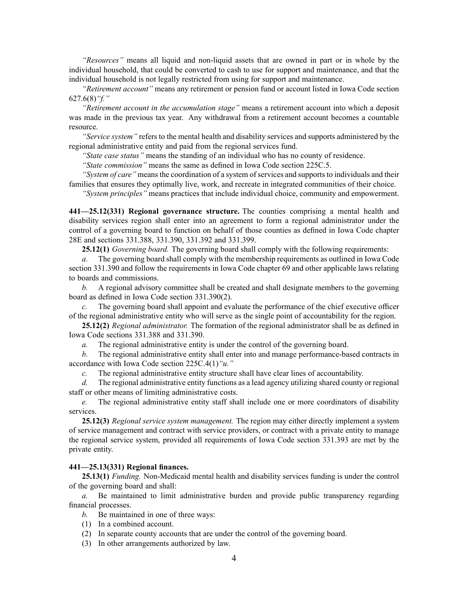*"Resources"* means all liquid and non-liquid assets that are owned in par<sup>t</sup> or in whole by the individual household, that could be converted to cash to use for suppor<sup>t</sup> and maintenance, and that the individual household is not legally restricted from using for suppor<sup>t</sup> and maintenance.

*"Retirement account"* means any retirement or pension fund or account listed in Iowa Code section 627.6(8)*"f."*

*"Retirement account in the accumulation stage"* means <sup>a</sup> retirement account into which <sup>a</sup> deposit was made in the previous tax year. Any withdrawal from <sup>a</sup> retirement account becomes <sup>a</sup> countable resource.

*"Service system"* refers to the mental health and disability services and supports administered by the regional administrative entity and paid from the regional services fund.

*"State case status"* means the standing of an individual who has no county of residence.

*"State commission"* means the same as defined in Iowa Code section 225C.5.

*"System of care*" means the coordination of a system of services and supports to individuals and their families that ensures they optimally live, work, and recreate in integrated communities of their choice.

*"System principles"* means practices that include individual choice, community and empowerment.

**441—25.12(331) Regional governance structure.** The counties comprising <sup>a</sup> mental health and disability services region shall enter into an agreemen<sup>t</sup> to form <sup>a</sup> regional administrator under the control of <sup>a</sup> governing board to function on behalf of those counties as defined in Iowa Code chapter 28E and sections 331.388, 331.390, 331.392 and 331.399.

**25.12(1)** *Governing board.* The governing board shall comply with the following requirements:

*a.* The governing board shall comply with the membership requirements as outlined in Iowa Code section 331.390 and follow the requirements in Iowa Code chapter 69 and other applicable laws relating to boards and commissions.

*b.* A regional advisory committee shall be created and shall designate members to the governing board as defined in Iowa Code section 331.390(2).

*c.* The governing board shall appoint and evaluate the performance of the chief executive officer of the regional administrative entity who will serve as the single point of accountability for the region.

**25.12(2)** *Regional administrator.* The formation of the regional administrator shall be as defined in Iowa Code sections 331.388 and 331.390.

*a.* The regional administrative entity is under the control of the governing board.

*b.* The regional administrative entity shall enter into and manage performance-based contracts in accordance with Iowa Code section 225C.4(1)*"u."*

*c.* The regional administrative entity structure shall have clear lines of accountability.

*d.* The regional administrative entity functions as <sup>a</sup> lead agency utilizing shared county or regional staff or other means of limiting administrative costs.

*e.* The regional administrative entity staff shall include one or more coordinators of disability services.

**25.12(3)** *Regional service system management.* The region may either directly implement <sup>a</sup> system of service managemen<sup>t</sup> and contract with service providers, or contract with <sup>a</sup> private entity to manage the regional service system, provided all requirements of Iowa Code section 331.393 are met by the private entity.

### **441—25.13(331) Regional finances.**

**25.13(1)** *Funding.* Non-Medicaid mental health and disability services funding is under the control of the governing board and shall:

*a.* Be maintained to limit administrative burden and provide public transparency regarding financial processes.

*b.* Be maintained in one of three ways:

- (1) In <sup>a</sup> combined account.
- (2) In separate county accounts that are under the control of the governing board.
- (3) In other arrangements authorized by law.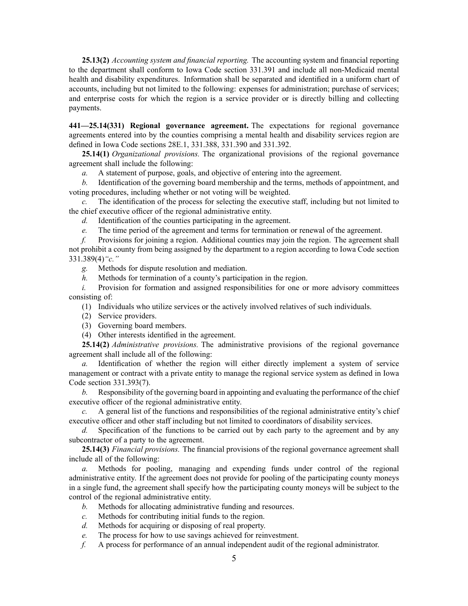**25.13(2)** *Accounting system and financial reporting.* The accounting system and financial reporting to the department shall conform to Iowa Code section 331.391 and include all non-Medicaid mental health and disability expenditures. Information shall be separated and identified in <sup>a</sup> uniform chart of accounts, including but not limited to the following: expenses for administration; purchase of services; and enterprise costs for which the region is <sup>a</sup> service provider or is directly billing and collecting payments.

**441—25.14(331) Regional governance agreement.** The expectations for regional governance agreements entered into by the counties comprising <sup>a</sup> mental health and disability services region are defined in Iowa Code sections 28E.1, 331.388, 331.390 and 331.392.

**25.14(1)** *Organizational provisions.* The organizational provisions of the regional governance agreemen<sup>t</sup> shall include the following:

*a.* A statement of purpose, goals, and objective of entering into the agreement.

*b.* Identification of the governing board membership and the terms, methods of appointment, and voting procedures, including whether or not voting will be weighted.

*c.* The identification of the process for selecting the executive staff, including but not limited to the chief executive officer of the regional administrative entity.

*d.* Identification of the counties participating in the agreement.

*e.* The time period of the agreemen<sup>t</sup> and terms for termination or renewal of the agreement.

*f.* Provisions for joining <sup>a</sup> region. Additional counties may join the region. The agreemen<sup>t</sup> shall not prohibit <sup>a</sup> county from being assigned by the department to <sup>a</sup> region according to Iowa Code section 331.389(4)*"c."*

*g.* Methods for dispute resolution and mediation.

*h.* Methods for termination of <sup>a</sup> county's participation in the region.

*i.* Provision for formation and assigned responsibilities for one or more advisory committees consisting of:

(1) Individuals who utilize services or the actively involved relatives of such individuals.

- (2) Service providers.
- (3) Governing board members.
- (4) Other interests identified in the agreement.

**25.14(2)** *Administrative provisions.* The administrative provisions of the regional governance agreemen<sup>t</sup> shall include all of the following:

*a.* Identification of whether the region will either directly implement <sup>a</sup> system of service managemen<sup>t</sup> or contract with <sup>a</sup> private entity to manage the regional service system as defined in Iowa Code section 331.393(7).

*b.* Responsibility of the governing board in appointing and evaluating the performance of the chief executive officer of the regional administrative entity.

*c.* A general list of the functions and responsibilities of the regional administrative entity's chief executive officer and other staff including but not limited to coordinators of disability services.

*d.* Specification of the functions to be carried out by each party to the agreemen<sup>t</sup> and by any subcontractor of <sup>a</sup> party to the agreement.

**25.14(3)** *Financial provisions.* The financial provisions of the regional governance agreemen<sup>t</sup> shall include all of the following:

*a.* Methods for pooling, managing and expending funds under control of the regional administrative entity. If the agreemen<sup>t</sup> does not provide for pooling of the participating county moneys in <sup>a</sup> single fund, the agreemen<sup>t</sup> shall specify how the participating county moneys will be subject to the control of the regional administrative entity.

- *b.* Methods for allocating administrative funding and resources.
- *c.* Methods for contributing initial funds to the region.
- *d.* Methods for acquiring or disposing of real property.
- *e.* The process for how to use savings achieved for reinvestment.

*f.* A process for performance of an annual independent audit of the regional administrator.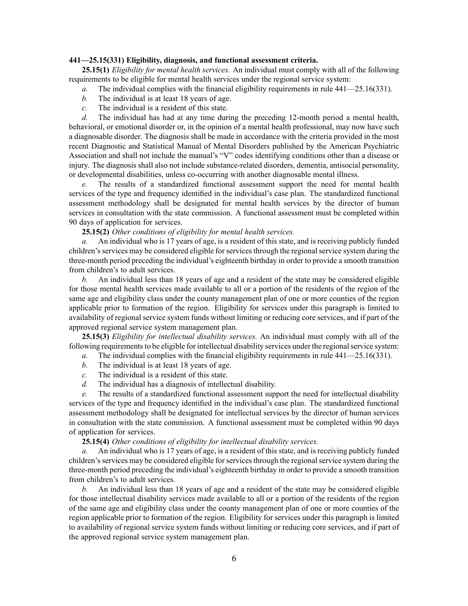### **441—25.15(331) Eligibility, diagnosis, and functional assessment criteria.**

**25.15(1)** *Eligibility for mental health services.* An individual must comply with all of the following requirements to be eligible for mental health services under the regional service system:

- *a.* The individual complies with the financial eligibility requirements in rule 441—25.16(331).
- *b.* The individual is at least 18 years of age.
- *c.* The individual is <sup>a</sup> resident of this state.

*d.* The individual has had at any time during the preceding 12-month period <sup>a</sup> mental health, behavioral, or emotional disorder or, in the opinion of <sup>a</sup> mental health professional, may now have such <sup>a</sup> diagnosable disorder. The diagnosis shall be made in accordance with the criteria provided in the most recent Diagnostic and Statistical Manual of Mental Disorders published by the American Psychiatric Association and shall not include the manual's "V" codes identifying conditions other than <sup>a</sup> disease or injury. The diagnosis shall also not include substance-related disorders, dementia, antisocial personality, or developmental disabilities, unless co-occurring with another diagnosable mental illness.

*e.* The results of <sup>a</sup> standardized functional assessment suppor<sup>t</sup> the need for mental health services of the type and frequency identified in the individual's case plan. The standardized functional assessment methodology shall be designated for mental health services by the director of human services in consultation with the state commission. A functional assessment must be completed within 90 days of application for services.

# **25.15(2)** *Other conditions of eligibility for mental health services.*

*a.* An individual who is 17 years of age, is <sup>a</sup> resident of this state, and is receiving publicly funded children's services may be considered eligible for services through the regional service system during the three-month period preceding the individual's eighteenth birthday in order to provide <sup>a</sup> smooth transition from children's to adult services.

*b.* An individual less than 18 years of age and <sup>a</sup> resident of the state may be considered eligible for those mental health services made available to all or <sup>a</sup> portion of the residents of the region of the same age and eligibility class under the county managemen<sup>t</sup> plan of one or more counties of the region applicable prior to formation of the region. Eligibility for services under this paragraph is limited to availability of regional service system funds without limiting or reducing core services, and if par<sup>t</sup> of the approved regional service system managemen<sup>t</sup> plan.

**25.15(3)** *Eligibility for intellectual disability services.* An individual must comply with all of the following requirements to be eligible for intellectual disability services under the regional service system:

- *a.* The individual complies with the financial eligibility requirements in rule 441—25.16(331).
- *b.* The individual is at least 18 years of age.
- *c.* The individual is <sup>a</sup> resident of this state.
- *d.* The individual has <sup>a</sup> diagnosis of intellectual disability.

*e.* The results of <sup>a</sup> standardized functional assessment suppor<sup>t</sup> the need for intellectual disability services of the type and frequency identified in the individual's case plan. The standardized functional assessment methodology shall be designated for intellectual services by the director of human services in consultation with the state commission. A functional assessment must be completed within 90 days of application for services.

# **25.15(4)** *Other conditions of eligibility for intellectual disability services.*

*a.* An individual who is 17 years of age, is <sup>a</sup> resident of this state, and is receiving publicly funded children's services may be considered eligible for services through the regional service system during the three-month period preceding the individual's eighteenth birthday in order to provide <sup>a</sup> smooth transition from children's to adult services.

*b.* An individual less than 18 years of age and <sup>a</sup> resident of the state may be considered eligible for those intellectual disability services made available to all or <sup>a</sup> portion of the residents of the region of the same age and eligibility class under the county managemen<sup>t</sup> plan of one or more counties of the region applicable prior to formation of the region. Eligibility for services under this paragraph is limited to availability of regional service system funds without limiting or reducing core services, and if par<sup>t</sup> of the approved regional service system managemen<sup>t</sup> plan.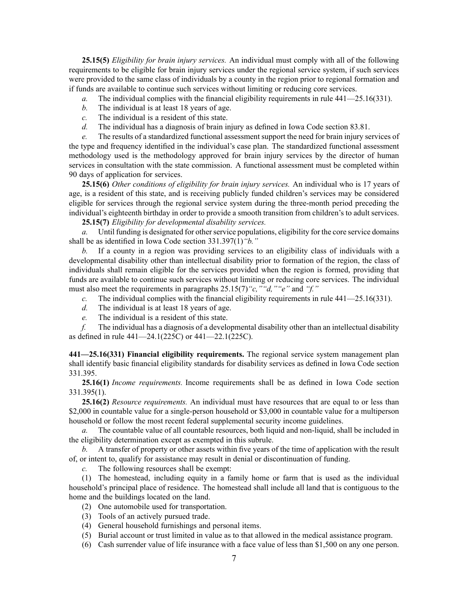**25.15(5)** *Eligibility for brain injury services.* An individual must comply with all of the following requirements to be eligible for brain injury services under the regional service system, if such services were provided to the same class of individuals by <sup>a</sup> county in the region prior to regional formation and if funds are available to continue such services without limiting or reducing core services.

- *a.* The individual complies with the financial eligibility requirements in rule 441—25.16(331).
- *b.* The individual is at least 18 years of age.
- *c.* The individual is <sup>a</sup> resident of this state.
- *d.* The individual has <sup>a</sup> diagnosis of brain injury as defined in Iowa Code section 83.81.

*e.* The results of <sup>a</sup> standardized functional assessment suppor<sup>t</sup> the need for brain injury services of the type and frequency identified in the individual's case plan. The standardized functional assessment methodology used is the methodology approved for brain injury services by the director of human services in consultation with the state commission. A functional assessment must be completed within 90 days of application for services.

**25.15(6)** *Other conditions of eligibility for brain injury services.* An individual who is 17 years of age, is <sup>a</sup> resident of this state, and is receiving publicly funded children's services may be considered eligible for services through the regional service system during the three-month period preceding the individual's eighteenth birthday in order to provide <sup>a</sup> smooth transition from children's to adult services.

**25.15(7)** *Eligibility for developmental disability services.*

*a.* Until funding is designated for other service populations, eligibility for the core service domains shall be as identified in Iowa Code section 331.397(1)*"b."*

*b.* If <sup>a</sup> county in <sup>a</sup> region was providing services to an eligibility class of individuals with <sup>a</sup> developmental disability other than intellectual disability prior to formation of the region, the class of individuals shall remain eligible for the services provided when the region is formed, providing that funds are available to continue such services without limiting or reducing core services. The individual must also meet the requirements in paragraphs 25.15(7)*"c,""d,""e"* and *"f."*

- *c.* The individual complies with the financial eligibility requirements in rule 441—25.16(331).
- *d.* The individual is at least 18 years of age.
- *e.* The individual is <sup>a</sup> resident of this state.

*f.* The individual has <sup>a</sup> diagnosis of <sup>a</sup> developmental disability other than an intellectual disability as defined in rule 441—24.1(225C) or 441—22.1(225C).

**441—25.16(331) Financial eligibility requirements.** The regional service system managemen<sup>t</sup> plan shall identify basic financial eligibility standards for disability services as defined in Iowa Code section 331.395.

**25.16(1)** *Income requirements.* Income requirements shall be as defined in Iowa Code section 331.395(1).

**25.16(2)** *Resource requirements.* An individual must have resources that are equal to or less than \$2,000 in countable value for a single-person household or \$3,000 in countable value for a multiperson household or follow the most recent federal supplemental security income guidelines.

*a.* The countable value of all countable resources, both liquid and non-liquid, shall be included in the eligibility determination excep<sup>t</sup> as exempted in this subrule.

*b.* A transfer of property or other assets within five years of the time of application with the result of, or intent to, qualify for assistance may result in denial or discontinuation of funding.

*c.* The following resources shall be exempt:

(1) The homestead, including equity in <sup>a</sup> family home or farm that is used as the individual household's principal place of residence. The homestead shall include all land that is contiguous to the home and the buildings located on the land.

- (2) One automobile used for transportation.
- (3) Tools of an actively pursued trade.
- (4) General household furnishings and personal items.
- (5) Burial account or trust limited in value as to that allowed in the medical assistance program.
- (6) Cash surrender value of life insurance with <sup>a</sup> face value of less than \$1,500 on any one person.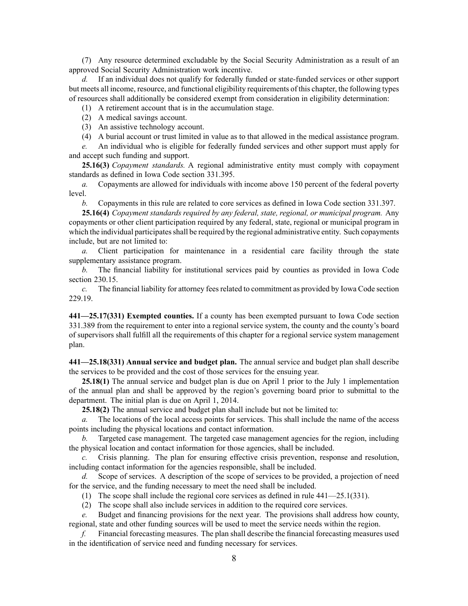(7) Any resource determined excludable by the Social Security Administration as <sup>a</sup> result of an approved Social Security Administration work incentive.

*d.* If an individual does not qualify for federally funded or state-funded services or other suppor<sup>t</sup> but meets all income, resource, and functional eligibility requirements of this chapter, the following types of resources shall additionally be considered exemp<sup>t</sup> from consideration in eligibility determination:

- (1) A retirement account that is in the accumulation stage.
- (2) A medical savings account.
- (3) An assistive technology account.
- (4) A burial account or trust limited in value as to that allowed in the medical assistance program.

*e.* An individual who is eligible for federally funded services and other suppor<sup>t</sup> must apply for and accep<sup>t</sup> such funding and support.

**25.16(3)** *Copayment standards.* A regional administrative entity must comply with copaymen<sup>t</sup> standards as defined in Iowa Code section 331.395.

*a.* Copayments are allowed for individuals with income above 150 percen<sup>t</sup> of the federal poverty level.

*b.* Copayments in this rule are related to core services as defined in Iowa Code section 331.397.

**25.16(4)** *Copayment standards required by any federal, state, regional, or municipal program.* Any copayments or other client participation required by any federal, state, regional or municipal program in which the individual participates shall be required by the regional administrative entity. Such copayments include, but are not limited to:

*a.* Client participation for maintenance in <sup>a</sup> residential care facility through the state supplementary assistance program.

*b.* The financial liability for institutional services paid by counties as provided in Iowa Code section 230.15.

*c.* The financial liability for attorney feesrelated to commitment as provided by Iowa Code section 229.19.

**441—25.17(331) Exempted counties.** If <sup>a</sup> county has been exempted pursuan<sup>t</sup> to Iowa Code section 331.389 from the requirement to enter into <sup>a</sup> regional service system, the county and the county's board of supervisors shall fulfill all the requirements of this chapter for <sup>a</sup> regional service system managemen<sup>t</sup> plan.

**441—25.18(331) Annual service and budget plan.** The annual service and budget plan shall describe the services to be provided and the cost of those services for the ensuing year.

**25.18(1)** The annual service and budget plan is due on April 1 prior to the July 1 implementation of the annual plan and shall be approved by the region's governing board prior to submittal to the department. The initial plan is due on April 1, 2014.

**25.18(2)** The annual service and budget plan shall include but not be limited to:

*a.* The locations of the local access points for services. This shall include the name of the access points including the physical locations and contact information.

*b.* Targeted case management. The targeted case managemen<sup>t</sup> agencies for the region, including the physical location and contact information for those agencies, shall be included.

*c.* Crisis planning. The plan for ensuring effective crisis prevention, response and resolution, including contact information for the agencies responsible, shall be included.

*d.* Scope of services. A description of the scope of services to be provided, <sup>a</sup> projection of need for the service, and the funding necessary to meet the need shall be included.

(1) The scope shall include the regional core services as defined in rule 441—25.1(331).

(2) The scope shall also include services in addition to the required core services.

*e.* Budget and financing provisions for the next year. The provisions shall address how county, regional, state and other funding sources will be used to meet the service needs within the region.

*f.* Financial forecasting measures. The plan shall describe the financial forecasting measures used in the identification of service need and funding necessary for services.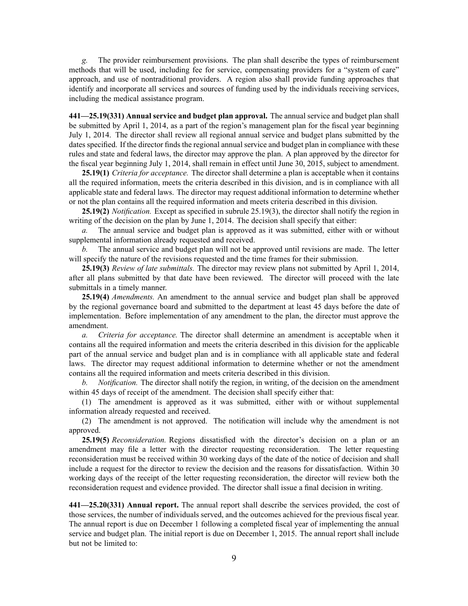*g.* The provider reimbursement provisions. The plan shall describe the types of reimbursement methods that will be used, including fee for service, compensating providers for <sup>a</sup> "system of care" approach, and use of nontraditional providers. A region also shall provide funding approaches that identify and incorporate all services and sources of funding used by the individuals receiving services, including the medical assistance program.

**441—25.19(331) Annual service and budget plan approval.** The annual service and budget plan shall be submitted by April 1, 2014, as <sup>a</sup> par<sup>t</sup> of the region's managemen<sup>t</sup> plan for the fiscal year beginning July 1, 2014. The director shall review all regional annual service and budget plans submitted by the dates specified. If the director finds the regional annual service and budget plan in compliance with these rules and state and federal laws, the director may approve the plan. A plan approved by the director for the fiscal year beginning July 1, 2014, shall remain in effect until June 30, 2015, subject to amendment.

**25.19(1)** *Criteria for acceptance.* The director shall determine <sup>a</sup> plan is acceptable when it contains all the required information, meets the criteria described in this division, and is in compliance with all applicable state and federal laws. The director may reques<sup>t</sup> additional information to determine whether or not the plan contains all the required information and meets criteria described in this division.

**25.19(2)** *Notification.* Except as specified in subrule 25.19(3), the director shall notify the region in writing of the decision on the plan by June 1, 2014. The decision shall specify that either:

*a.* The annual service and budget plan is approved as it was submitted, either with or without supplemental information already requested and received.

*b.* The annual service and budget plan will not be approved until revisions are made. The letter will specify the nature of the revisions requested and the time frames for their submission.

**25.19(3)** *Review of late submittals.* The director may review plans not submitted by April 1, 2014, after all plans submitted by that date have been reviewed. The director will proceed with the late submittals in <sup>a</sup> timely manner.

**25.19(4)** *Amendments.* An amendment to the annual service and budget plan shall be approved by the regional governance board and submitted to the department at least 45 days before the date of implementation. Before implementation of any amendment to the plan, the director must approve the amendment.

*a. Criteria for acceptance.* The director shall determine an amendment is acceptable when it contains all the required information and meets the criteria described in this division for the applicable par<sup>t</sup> of the annual service and budget plan and is in compliance with all applicable state and federal laws. The director may reques<sup>t</sup> additional information to determine whether or not the amendment contains all the required information and meets criteria described in this division.

*b. Notification.* The director shall notify the region, in writing, of the decision on the amendment within 45 days of receipt of the amendment. The decision shall specify either that:

(1) The amendment is approved as it was submitted, either with or without supplemental information already requested and received.

(2) The amendment is not approved. The notification will include why the amendment is not approved.

**25.19(5)** *Reconsideration.* Regions dissatisfied with the director's decision on <sup>a</sup> plan or an amendment may file <sup>a</sup> letter with the director requesting reconsideration. The letter requesting reconsideration must be received within 30 working days of the date of the notice of decision and shall include <sup>a</sup> reques<sup>t</sup> for the director to review the decision and the reasons for dissatisfaction. Within 30 working days of the receipt of the letter requesting reconsideration, the director will review both the reconsideration reques<sup>t</sup> and evidence provided. The director shall issue <sup>a</sup> final decision in writing.

**441—25.20(331) Annual report.** The annual repor<sup>t</sup> shall describe the services provided, the cost of those services, the number of individuals served, and the outcomes achieved for the previous fiscal year. The annual repor<sup>t</sup> is due on December 1 following <sup>a</sup> completed fiscal year of implementing the annual service and budget plan. The initial repor<sup>t</sup> is due on December 1, 2015. The annual repor<sup>t</sup> shall include but not be limited to: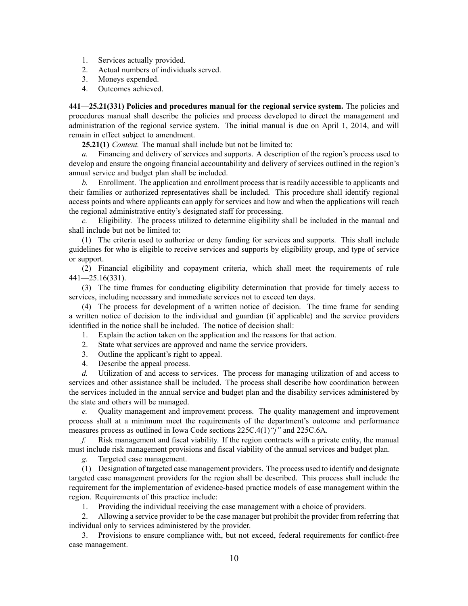- 1. Services actually provided.
- 2. Actual numbers of individuals served.
- 3. Moneys expended.
- 4. Outcomes achieved.

**441—25.21(331) Policies and procedures manual for the regional service system.** The policies and procedures manual shall describe the policies and process developed to direct the managemen<sup>t</sup> and administration of the regional service system. The initial manual is due on April 1, 2014, and will remain in effect subject to amendment.

**25.21(1)** *Content.* The manual shall include but not be limited to:

*a.* Financing and delivery of services and supports. A description of the region's process used to develop and ensure the ongoing financial accountability and delivery of services outlined in the region's annual service and budget plan shall be included.

*b.* Enrollment. The application and enrollment process that is readily accessible to applicants and their families or authorized representatives shall be included. This procedure shall identify regional access points and where applicants can apply for services and how and when the applications will reach the regional administrative entity's designated staff for processing.

*c.* Eligibility. The process utilized to determine eligibility shall be included in the manual and shall include but not be limited to:

(1) The criteria used to authorize or deny funding for services and supports. This shall include guidelines for who is eligible to receive services and supports by eligibility group, and type of service or support.

(2) Financial eligibility and copaymen<sup>t</sup> criteria, which shall meet the requirements of rule 441—25.16(331).

(3) The time frames for conducting eligibility determination that provide for timely access to services, including necessary and immediate services not to exceed ten days.

(4) The process for development of <sup>a</sup> written notice of decision. The time frame for sending <sup>a</sup> written notice of decision to the individual and guardian (if applicable) and the service providers identified in the notice shall be included. The notice of decision shall:

1. Explain the action taken on the application and the reasons for that action.

- 2. State what services are approved and name the service providers.
- 3. Outline the applicant's right to appeal.
- 4. Describe the appeal process.

*d.* Utilization of and access to services. The process for managing utilization of and access to services and other assistance shall be included. The process shall describe how coordination between the services included in the annual service and budget plan and the disability services administered by the state and others will be managed.

*e.* Quality managemen<sup>t</sup> and improvement process. The quality managemen<sup>t</sup> and improvement process shall at <sup>a</sup> minimum meet the requirements of the department's outcome and performance measures process as outlined in Iowa Code sections 225C.4(1)*"j"* and 225C.6A.

*f.* Risk managemen<sup>t</sup> and fiscal viability. If the region contracts with <sup>a</sup> private entity, the manual must include risk managemen<sup>t</sup> provisions and fiscal viability of the annual services and budget plan.

*g.* Targeted case management.

(1) Designation of targeted case managemen<sup>t</sup> providers. The process used to identify and designate targeted case managemen<sup>t</sup> providers for the region shall be described. This process shall include the requirement for the implementation of evidence-based practice models of case managemen<sup>t</sup> within the region. Requirements of this practice include:

1. Providing the individual receiving the case managemen<sup>t</sup> with <sup>a</sup> choice of providers.

2. Allowing <sup>a</sup> service provider to be the case manager but prohibit the provider from referring that individual only to services administered by the provider.

3. Provisions to ensure compliance with, but not exceed, federal requirements for conflict-free case management.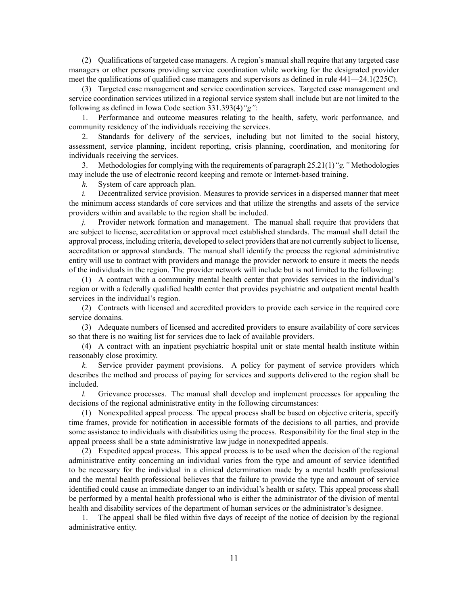(2) Qualifications of targeted case managers. A region's manual shall require that any targeted case managers or other persons providing service coordination while working for the designated provider meet the qualifications of qualified case managers and supervisors as defined in rule 441—24.1(225C).

(3) Targeted case managemen<sup>t</sup> and service coordination services. Targeted case managemen<sup>t</sup> and service coordination services utilized in <sup>a</sup> regional service system shall include but are not limited to the following as defined in Iowa Code section 331.393(4)*"g"*:

1. Performance and outcome measures relating to the health, safety, work performance, and community residency of the individuals receiving the services.

2. Standards for delivery of the services, including but not limited to the social history, assessment, service planning, incident reporting, crisis planning, coordination, and monitoring for individuals receiving the services.

3. Methodologies for complying with the requirements of paragraph 25.21(1)*"g."* Methodologies may include the use of electronic record keeping and remote or Internet-based training.

*h.* System of care approach plan.

*i.* Decentralized service provision. Measures to provide services in a dispersed manner that meet the minimum access standards of core services and that utilize the strengths and assets of the service providers within and available to the region shall be included.

*j.* Provider network formation and management. The manual shall require that providers that are subject to license, accreditation or approval meet established standards. The manual shall detail the approval process, including criteria, developed to select providersthat are not currently subject to license, accreditation or approval standards. The manual shall identify the process the regional administrative entity will use to contract with providers and manage the provider network to ensure it meets the needs of the individuals in the region. The provider network will include but is not limited to the following:

(1) A contract with <sup>a</sup> community mental health center that provides services in the individual's region or with <sup>a</sup> federally qualified health center that provides psychiatric and outpatient mental health services in the individual's region.

(2) Contracts with licensed and accredited providers to provide each service in the required core service domains.

(3) Adequate numbers of licensed and accredited providers to ensure availability of core services so that there is no waiting list for services due to lack of available providers.

(4) A contract with an inpatient psychiatric hospital unit or state mental health institute within reasonably close proximity.

*k.* Service provider paymen<sup>t</sup> provisions. A policy for paymen<sup>t</sup> of service providers which describes the method and process of paying for services and supports delivered to the region shall be included.

*l.* Grievance processes. The manual shall develop and implement processes for appealing the decisions of the regional administrative entity in the following circumstances:

(1) Nonexpedited appeal process. The appeal process shall be based on objective criteria, specify time frames, provide for notification in accessible formats of the decisions to all parties, and provide some assistance to individuals with disabilities using the process. Responsibility for the final step in the appeal process shall be <sup>a</sup> state administrative law judge in nonexpedited appeals.

(2) Expedited appeal process. This appeal process is to be used when the decision of the regional administrative entity concerning an individual varies from the type and amount of service identified to be necessary for the individual in <sup>a</sup> clinical determination made by <sup>a</sup> mental health professional and the mental health professional believes that the failure to provide the type and amount of service identified could cause an immediate danger to an individual's health or safety. This appeal process shall be performed by <sup>a</sup> mental health professional who is either the administrator of the division of mental health and disability services of the department of human services or the administrator's designee.

1. The appeal shall be filed within five days of receipt of the notice of decision by the regional administrative entity.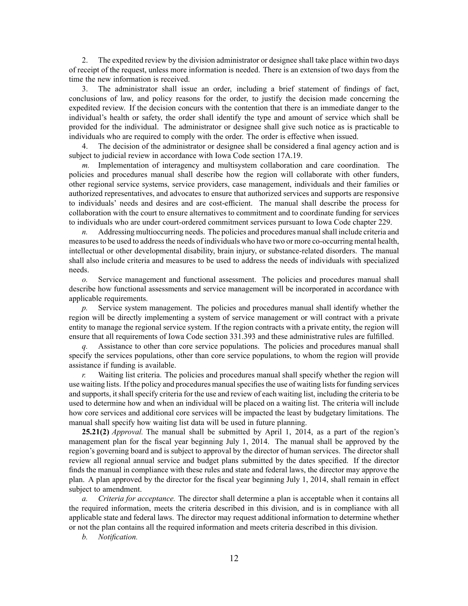2. The expedited review by the division administrator or designee shall take place within two days of receipt of the request, unless more information is needed. There is an extension of two days from the time the new information is received.

3. The administrator shall issue an order, including <sup>a</sup> brief statement of findings of fact, conclusions of law, and policy reasons for the order, to justify the decision made concerning the expedited review. If the decision concurs with the contention that there is an immediate danger to the individual's health or safety, the order shall identify the type and amount of service which shall be provided for the individual. The administrator or designee shall give such notice as is practicable to individuals who are required to comply with the order. The order is effective when issued.

4. The decision of the administrator or designee shall be considered <sup>a</sup> final agency action and is subject to judicial review in accordance with Iowa Code section 17A.19.

*m.* Implementation of interagency and multisystem collaboration and care coordination. The policies and procedures manual shall describe how the region will collaborate with other funders, other regional service systems, service providers, case management, individuals and their families or authorized representatives, and advocates to ensure that authorized services and supports are responsive to individuals' needs and desires and are cost-efficient. The manual shall describe the process for collaboration with the court to ensure alternatives to commitment and to coordinate funding for services to individuals who are under court-ordered commitment services pursuan<sup>t</sup> to Iowa Code chapter 229.

*n.* Addressing multioccurring needs. The policies and procedures manual shall include criteria and measures to be used to address the needs of individuals who have two or more co-occurring mental health, intellectual or other developmental disability, brain injury, or substance-related disorders. The manual shall also include criteria and measures to be used to address the needs of individuals with specialized needs.

*o.* Service managemen<sup>t</sup> and functional assessment. The policies and procedures manual shall describe how functional assessments and service managemen<sup>t</sup> will be incorporated in accordance with applicable requirements.

*p.* Service system management. The policies and procedures manual shall identify whether the region will be directly implementing <sup>a</sup> system of service managemen<sup>t</sup> or will contract with <sup>a</sup> private entity to manage the regional service system. If the region contracts with <sup>a</sup> private entity, the region will ensure that all requirements of Iowa Code section 331.393 and these administrative rules are fulfilled.

*q.* Assistance to other than core service populations. The policies and procedures manual shall specify the services populations, other than core service populations, to whom the region will provide assistance if funding is available.

*r.* Waiting list criteria. The policies and procedures manual shall specify whether the region will use waiting lists. If the policy and procedures manual specifies the use of waiting lists for funding services and supports, it shall specify criteria for the use and review of each waiting list, including the criteria to be used to determine how and when an individual will be placed on <sup>a</sup> waiting list. The criteria will include how core services and additional core services will be impacted the least by budgetary limitations. The manual shall specify how waiting list data will be used in future planning.

**25.21(2)** *Approval.* The manual shall be submitted by April 1, 2014, as <sup>a</sup> par<sup>t</sup> of the region's managemen<sup>t</sup> plan for the fiscal year beginning July 1, 2014. The manual shall be approved by the region's governing board and is subject to approval by the director of human services. The director shall review all regional annual service and budget plans submitted by the dates specified. If the director finds the manual in compliance with these rules and state and federal laws, the director may approve the plan. A plan approved by the director for the fiscal year beginning July 1, 2014, shall remain in effect subject to amendment.

*a. Criteria for acceptance.* The director shall determine <sup>a</sup> plan is acceptable when it contains all the required information, meets the criteria described in this division, and is in compliance with all applicable state and federal laws. The director may reques<sup>t</sup> additional information to determine whether or not the plan contains all the required information and meets criteria described in this division.

*b. Notification.*